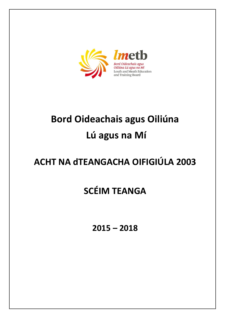

# **Bord Oideachais agus Oiliúna Lú agus na Mí**

## **ACHT NA dTEANGACHA OIFIGIÚLA 2003**

## **SCÉIM TEANGA**

**2015 – 2018**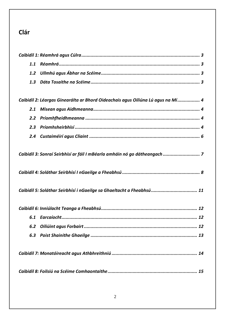## **Clár**

| 1.1           |                                                                                 |
|---------------|---------------------------------------------------------------------------------|
| 1.2           |                                                                                 |
| 1.3           |                                                                                 |
|               |                                                                                 |
|               | Caibidil 2: Léargas Ginearálta ar Bhord Oideachais agus Oiliúna Lú agus na Mí 4 |
| 2.1           |                                                                                 |
| $2.2^{\circ}$ |                                                                                 |
| 2.3           |                                                                                 |
|               |                                                                                 |
|               |                                                                                 |
|               | Caibidil 3: Sonraí Seirbhísí ar fáil I mBéarla amháin nó go dátheangach  7      |
|               |                                                                                 |
|               |                                                                                 |
|               |                                                                                 |
|               | Caibidil 5: Soláthar Seirbhísí i nGaeilge sa Ghaeltacht a Fheabhsú  11          |
|               |                                                                                 |
|               |                                                                                 |
|               |                                                                                 |
| 6.2           |                                                                                 |
|               |                                                                                 |
|               |                                                                                 |
|               |                                                                                 |
|               |                                                                                 |
|               |                                                                                 |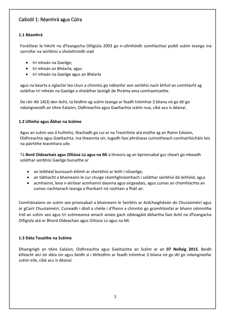## Caibidil 1: Réamhrá agus Cúlra

#### **1.1 Réamhrá**

Foráiltear le hAcht na dTeangacha Oifigiúla 2003 go n-ullmhóidh comhlachtaí poiblí scéim teanga ina sonrófar na seirbhísí a sholathróidh siad

- trí mheán na Gaeilge;
- trí mheán an Bhéarla; agus
- trí mheán na Gaeilge agus an Bhéarla

agus na bearta a nglacfar leo chun a chinntiú go ndéanfar aon seirbhís nach bhfuil an comhlacht ag soláthar trí mheán na Gaeilge a sholáthar laistigh de fhráma ama comhaontaithe.

De réir Alt 14(3) den Acht, tá feidhm ag scéim teanga ar feadh tréimhse 3 bliana nó go dtí go ndaingneoidh an tAire Ealaíon, Oidhreachta agus Gaeltachta scéim nua, cibé acu is déanaí.

#### **1.2 Ullmhú agus Ábhar na Scéime**

Agus an scéim seo á hullmhú, féachadh go cuí ar na Treoirlínte atá eisithe ag an Roinn Ealaíon, Oidhreachta agus Gaeltachta. Ina theannta sin, tugadh faoi phróiseas cuimsitheach comhairliúcháin leis na páirtithe leasmhara uile.

Tá **Bord Oideachais agus Oiliúna Lú agus na Mí** á threorú ag an bprionsabal gur cheart go mbeadh soláthar seirbhísí Gaeilge bunaithe ar

- an leibhéal bunúsach éilimh ar sheirbhísí ar leith i nGaeilge;
- an tábhacht a bhaineann le cur chuige réamhghníomhach i soláthar seirbhísí dá leithéid, agus
- acmhainní, lena n-áirítear acmhainní daonna agus airgeadais, agus cumas an chomhlachta an cumas riachtanach teanga a fhorbairt nó rochtain a fháil air.

Comhlánaíonn an scéim seo prionsabail a bhaineann le Seirbhís ar Ardchaighdeán do Chustaiméirí agus ár gCairt Chustaiméirí. Cuireadh i dtoll a chéile í d'fhonn a chinntiú go gcomhlíonfaí ar bhonn céimnithe tríd an scéim seo agus trí scéimeanna amach anseo gach oibleagáid ábhartha faoi Acht na dTeangacha Oifigiúla atá ar Bhord Oideachais agus Oiliúna Lú agus na Mí.

#### **1.3 Dáta Tosaithe na Scéime**

Dhaingnigh an tAire Ealaíon, Oidhreachta agus Gaeltachta an Scéim ar an **07 Nollaig 2015**. Beidh éifeacht aici ón dáta sin agus beidh sí i bhfeidhm ar feadh tréimhse 3 bliana nó go dtí go ndaingneofar scéim eile, cibé acu is déanaí.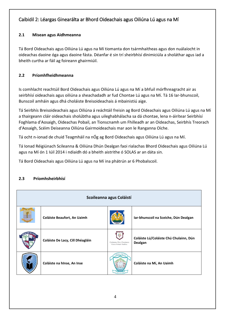## Caibidil 2: Léargas Ginearálta ar Bhord Oideachais agus Oiliúna Lú agus na Mí

## **2.1 Misean agus Aidhmeanna**

Tá Bord Oideachais agus Oiliúna Lú agus na Mí tiomanta don tsármhaitheas agus don nuálaíocht in oideachas daoine óga agus daoine fásta. Déanfar é sin trí sheirbhísí dinimiciúla a sholáthar agus iad a bheith curtha ar fáil ag foireann ghairmiúil.

## **2.2 Príomhfheidhmeanna**

Is comhlacht reachtúil Bord Oideachais agus Oiliúna Lú agus na Mí a bhfuil mórfhreagracht air as seirbhísí oideachais agus oiliúna a sheachadadh ar fud Chontae Lú agus na Mí. Tá 16 Iar-bhunscoil, Bunscoil amháin agus dhá choláiste Breisoideachais á mbainistiú aige.

Tá Seirbhís Breisoideachais agus Oiliúna á reáchtáil freisin ag Bord Oideachais agus Oiliúna Lú agus na Mí a thairgeann cláir oideachais sholúbtha agus uileghabhálacha sa dá chontae, lena n-áirítear Seirbhísí Foghlama d'Aosaigh, Oideachas Pobail, an Tionscnamh um Fhilleadh ar an Oideachas, Seirbhís Treorach d'Aosaigh, Scéim Deiseanna Oiliúna Gairmoideachais mar aon le Ranganna Oíche.

Tá ocht n-ionad de chuid Teagmháil na nÓg ag Bord Oideachais agus Oiliúna Lú agus na Mí.

Tá Ionad Réigiúnach Scileanna & Oiliúna Dhún Dealgan faoi rialachas Bhord Oideachais agus Oiliúna Lú agus na Mí ón 1 Iúil 2014 i ndiaidh dó a bheith aistrithe ó SOLAS ar an dáta sin.

Tá Bord Oideachais agus Oiliúna Lú agus na Mí ina phátrún ar 6 Phobalscoil.

## **2.3 Príomhsheirbhísí**

| Scoileanna agus Coláistí |                                    |                                                    |                                                   |  |  |
|--------------------------|------------------------------------|----------------------------------------------------|---------------------------------------------------|--|--|
|                          | <b>Coláiste Beaufort, An Uaimh</b> |                                                    | Iar-bhunscoil na Sceiche, Dún Dealgan             |  |  |
|                          | Coláiste De Lacy, Cill Dhéagláin   | Coláiste Chú Chulainn<br>Curam, Forbairt, Feabhas. | Coláiste Lú/Coláiste Chú Chulainn, Dún<br>Dealgan |  |  |
|                          | Coláiste na hInse, An Inse         |                                                    | Coláiste na Mí, An Uaimh                          |  |  |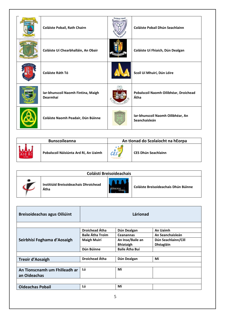| Olaisse Pohé | Coláiste Pobail, Rath Chairn                   | Coláiste Pobail | Coláiste Pobail Dhún Seachlainn                    |
|--------------|------------------------------------------------|-----------------|----------------------------------------------------|
|              | Coláiste Uí Chearbhalláin, An Obair            |                 | Coláiste Uí Fhiaich, Dún Dealgan                   |
|              | Coláiste Ráth Tó                               |                 | Scoil Uí Mhuirí, Dún Léire                         |
|              | Iar-bhunscoil Naomh Fintina, Maigh<br>Dearmhaí |                 | Pobalscoil Naomh Oilibhéar, Droichead<br>Átha      |
|              | Coláiste Naomh Peadair, Dún Búinne             |                 | Iar-bhunscoil Naomh Oilibhéar, An<br>Seanchaisleán |

| <b>Bunscoileanna</b>                  |     | An tIonad do Scolaíocht na hEorpa |
|---------------------------------------|-----|-----------------------------------|
| Pobalscoil Náisiúnta Ard Rí, An Uaimh | CES | CES Dhún Seachlainn               |

| <b>Coláistí Breisoideachais</b> |                                               |  |                                      |  |  |
|---------------------------------|-----------------------------------------------|--|--------------------------------------|--|--|
|                                 | Institiúid Breisoideachais Dhroichead<br>Átha |  | Coláiste Breisoideachais Dhún Búinne |  |  |

| <b>Breisoideachas agus Oiliúint</b> |                         | Lárionad              |                     |
|-------------------------------------|-------------------------|-----------------------|---------------------|
|                                     |                         |                       |                     |
|                                     | Droichead Átha          | Dún Dealgan           | An Uaimh            |
|                                     | <b>Baile Átha Troim</b> | <b>Ceanannas</b>      | An Seanchaisleán    |
| Seirbhísí Foghama d'Aosaigh         | <b>Maigh Muirí</b>      | An Inse/Baile an      | Dún Seachlainn/Cill |
|                                     |                         | <b>Bhiataigh</b>      | Dhéagláin           |
|                                     | Dún Búinne              | <b>Baile Átha Buí</b> |                     |
|                                     |                         |                       |                     |
| <b>Treoir d'Aosaigh</b>             | Droichead Átha          | Dún Dealgan           | Mí                  |
|                                     |                         |                       |                     |
| An Tionscnamh um Fhilleadh ar       | Lú                      | Mí                    |                     |
| an Oideachas                        |                         |                       |                     |
|                                     |                         |                       |                     |
| <b>Oideachas Pobail</b>             | Lú                      | Mí                    |                     |
|                                     |                         |                       |                     |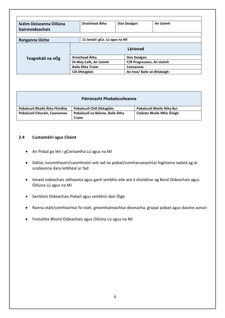| Scéim Deiseanna Oiliúna |  | <b>Droichead Átha</b>                              | Dún Dealgan      | An Uaimh                    |  |
|-------------------------|--|----------------------------------------------------|------------------|-----------------------------|--|
| <b>Gairmoideachais</b>  |  |                                                    |                  |                             |  |
|                         |  |                                                    |                  |                             |  |
| Ranganna Oíche          |  | 11 ionad i gCo. Lú agus na Mí                      |                  |                             |  |
|                         |  |                                                    | Lárionad         |                             |  |
| Teagmháil na nÓg        |  | <b>Droichead Átha</b><br>Dún Dealgan               |                  |                             |  |
|                         |  | Hi-Way Café, An Uaimh<br>Y/R Progression, An Uaimh |                  |                             |  |
|                         |  | <b>Baile Átha Troim</b>                            | <b>Ceanannas</b> |                             |  |
|                         |  | Cill Dhéagláin                                     |                  | An Inse/ Baile an Bhiataigh |  |

|  |  |  | Pátrúnacht Phobalscoileanna |
|--|--|--|-----------------------------|
|--|--|--|-----------------------------|

| Pobalscoil Bhaile Átha Fhirdhia | Pobalscoil Chill Dhéagláin       | Pobalscoil Bhaile Átha Buí         |
|---------------------------------|----------------------------------|------------------------------------|
| Pobalscoil Chiaráin, Ceanannas  | Pobalscoil na Bóinne, Baile Átha | <b>Coláiste Bhaile Mhic Éinigh</b> |
|                                 | Troim                            |                                    |

#### **2.4 Custaiméirí agus Cliaint**

- An Pobal go léir i gContaetha Lú agus na Mí
- Daltaí, tuismitheoirí/caomhnóirí arb iad na pobail/comharsanachtaí foghlama iadatá ag ár scoileanna dara leibhéal ar fad
- Ionaid oideachais aitheanta agus gach seirbhís eile atá á sholáthar ag Bord Oideachais agus Oiliúna Lú agus na Mí
- Seirbhísí Oideachais Pobail agus seirbhísí don Óige
- Ranna stáit/comhlachtaí fo-stáit, gníomhaireachtaí deonacha, grúpaí pobail agus daoine aonair
- Fostaithe Bhord Oideachais agus Oiliúna Lú agus na Mí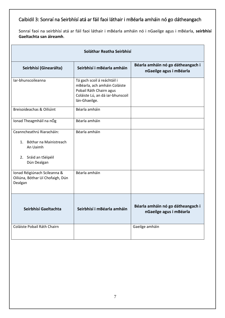## Caibidil 3: Sonraí na Seirbhísí atá ar fáil faoi láthair i mBéarla amháin nó go dátheangach

Sonraí faoi na seirbhísí atá ar fáil faoi láthair i mBéarla amháin nó i nGaeilge agus i mBéarla, **seirbhísí Gaeltachta san áireamh**.

| Soláthar Reatha Seirbhísí                                                                                 |                                                                                                                                             |                                                              |  |  |
|-----------------------------------------------------------------------------------------------------------|---------------------------------------------------------------------------------------------------------------------------------------------|--------------------------------------------------------------|--|--|
| Seirbhísí (Ginearálta)                                                                                    | Seirbhísí i mBéarla amháin                                                                                                                  | Béarla amháin nó go dátheangach i<br>nGaeilge agus i mBéarla |  |  |
| lar-bhunscoileanna                                                                                        | Tá gach scoil á reáchtáil i<br>mBéarla, ach amháin Coláiste<br>Pobail Ráth Chairn agus<br>Coláiste Lú, an dá iar-bhunscoil<br>lán-Ghaeilge. |                                                              |  |  |
| Breisoideachas & Oiliúint                                                                                 | Béarla amháin                                                                                                                               |                                                              |  |  |
| Ionad Theagmháil na nÓg                                                                                   | Béarla amháin                                                                                                                               |                                                              |  |  |
| Ceanncheathrú Riaracháin:<br>1. Bóthar na Mainistreach<br>An Uaimh<br>2. Sráid an tSéipéil<br>Dún Dealgan | Béarla amháin                                                                                                                               |                                                              |  |  |
| Ionad Réigiúnach Scileanna &<br>Oiliúna, Bóthar Uí Chofaigh, Dún<br>Dealgan                               | Béarla amháin                                                                                                                               |                                                              |  |  |
| Seirbhísí Gaeltachta                                                                                      | Seirbhísí i mBéarla amháin                                                                                                                  | Béarla amháin nó go dátheangach i<br>nGaeilge agus i mBéarla |  |  |
| Coláiste Pobail Ráth Chairn                                                                               |                                                                                                                                             | Gaeilge amháin                                               |  |  |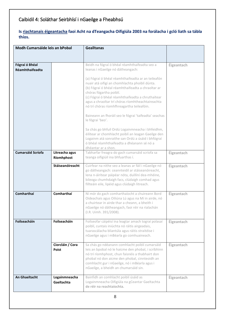## Caibidil 4: Soláthar Seirbhísí i nGaeilge a Fheabhsú

#### **Is riachtanais éigeantacha faoi Acht na dTeangacha Oifigiúla 2003 na forálacha i gcló liath sa tábla thíos.**

| Modh Cumarsáide leis an bPobal    |                                                  | <b>Gealltanas</b>                                                                                                                                                                                                                                                                                                                                                                                                                                                                                                                                                                                                                                                                                                                                    |                          |
|-----------------------------------|--------------------------------------------------|------------------------------------------------------------------------------------------------------------------------------------------------------------------------------------------------------------------------------------------------------------------------------------------------------------------------------------------------------------------------------------------------------------------------------------------------------------------------------------------------------------------------------------------------------------------------------------------------------------------------------------------------------------------------------------------------------------------------------------------------------|--------------------------|
| Fógraí ó Bhéal<br>Réamhthaifeadta |                                                  | Beidh na fógraí ó bhéal réamhthaifeadta seo a<br>leanas i nGaeilge nó dátheangach:<br>(a) Fógraí ó bhéal réamhthaifeadta ar an teileafón<br>nuair atá oifigí an chomhlachta phoiblí dúnta.<br>(b) Fógraí ó bhéal réamhthaifeadta a chraoltar ar<br>chóras fógartha poiblí.<br>(c) Fógraí ó bhéal réamhthaifeadta a chruthaítear<br>agus a chraoltar trí chóras ríomhtheachtaireachta<br>nó trí chóras ríomhfhreagartha teileafóin.<br>Baineann an fhoráil seo le fógraí 'taifeadta' seachas<br>le fógraí 'beo'.<br>Sa chás go bhfuil Ordú Logainmneacha i bhfeidhm,<br>éilítear ar chomhlacht poiblí an leagan Gaeilge den<br>Logainm atá sonraithe san Ordú a úsáid i bhfógraí<br>ó bhéal réamhthaifeadta a dhéanann sé nó a<br>dhéantar ar a shon. | Éigeantach               |
| <b>Cumarsáid Scríofa</b>          | Litreacha agus<br>Ríomhphost<br>Stáiseanóireacht | Tabharfar freagra do gach cumarsáid scríofa sa<br>teanga oifigiúil ina bhfuarthas í.<br>Cuirfear na nithe seo a leanas ar fáil i nGaeilge nó<br>go dátheangach: ceannteidil ar stáiseanóireacht,<br>lena n-áirítear páipéar nóta, duillíní dea-mhéine,<br>bileoga chumhdaigh facs, clúdaigh comhad agus<br>fillteáin eile, lipéid agus clúdaigh litreach.                                                                                                                                                                                                                                                                                                                                                                                            | Éigeantach<br>Éigeantach |
| Comharthaí                        | <b>Comharthaí</b>                                | Ní mór do gach comharthaíocht a chuireann Bord<br>Oideachais agus Oiliúna Lú agus na Mí in airde, nó<br>a chuirtear in airde thar a cheann, a bheith i<br>nGaeilge nó dátheangach, faoi réir na rialachán<br>(I.R. Uimh. 391/2008).                                                                                                                                                                                                                                                                                                                                                                                                                                                                                                                  | Éigeantach               |
| Foilseacháin                      | Foilseacháin                                     | Foilseofar cáipéisí ina leagtar amach tograí polasaí<br>poiblí, cuntais iniúchta nó ráitis airgeadais,<br>tuarascálacha bliantúla agus ráitis straitéise i<br>nGaeilge agus i mBéarla go comhuaineach.                                                                                                                                                                                                                                                                                                                                                                                                                                                                                                                                               | Éigeantach               |
|                                   | Ciorcláin / Cora<br><b>Poist</b>                 | Sa chás go ndéanann comhlacht poiblí cumarsáid<br>leis an bpobal nó le haicme den phobal, i scríbhinn<br>nó trí ríomhphost, chun faisnéis a thabhairt don<br>phobal nó don aicme den phobal, cinnteoidh an<br>comhlacht gur i nGaeilge, nó i mBéarla agus i<br>nGaeilge, a bheidh an chumarsáid sin.                                                                                                                                                                                                                                                                                                                                                                                                                                                 | Éigeantach               |
| <b>An Ghaeltacht</b>              | Logainmneacha<br>Gaeltachta                      | Bainfidh an comhlacht poiblí úsáid as<br>Logainmneacha Oifigiúla na gCeantar Gaeltachta<br>de réir na reachtaíochta.                                                                                                                                                                                                                                                                                                                                                                                                                                                                                                                                                                                                                                 | Éigeantach               |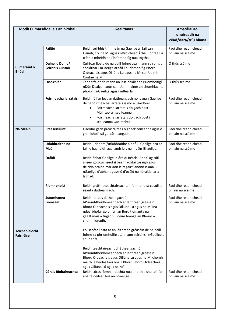|                                           | Modh Cumarsáide leis an bPobal      | <b>Gealltanas</b>                                                                                                                                                                                                                               | <b>AmscálaFaoi</b><br>dheireadh na<br>céad/dara/tríú bliana |
|-------------------------------------------|-------------------------------------|-------------------------------------------------------------------------------------------------------------------------------------------------------------------------------------------------------------------------------------------------|-------------------------------------------------------------|
|                                           | Fáiltiú                             | Beidh seirbhís trí mheán na Gaeilge ar fáil san<br>Uaimh, Co. na Mí agus i nDroichead Átha, Contae Lú<br>tráth a mbeidh an Phríomhoifig nua tógtha.                                                                                             | Faoi dheireadh chéad<br>bhliain na scéime                   |
| Cumarsáid ó<br><b>Bhéal</b>               | Duine le Duine/<br>Seirbhís Cuntair | Cuirfear liosta de na baill foirne atá in ann seirbhís a<br>sholáthar i nGaeilge ar fáil i bPríomhoifig Bhord<br>Oideachais agus Oiliúna Lú agus na Mí san Uaimh,<br>Contae na Mí.                                                              | Ó thús scéime                                               |
|                                           | Lasc-chlár                          | Tabharfaidh foireann an lasc-chláir sna Príomhoifigí i<br>nDún Dealgan agus san Uaimh ainm an chomhlachta<br>phoiblí i nGaeilge agus i mBéarla.                                                                                                 | Ó thús scéime                                               |
|                                           | Foirmeacha_larratais                | Beidh fáil ar leagan dátheangach nó leagan Gaeilge<br>de na foirmeacha iarratais is mó a úsáidtear:<br>Foirmeacha iarratais do gach post<br>Múinteora i scoileanna<br>Foirmeacha iarratais do gach post i<br>scoileanna Gaeltachta              | Faoi dheireadh chéad<br>bhliain na scéime                   |
| Na Meáin                                  | Preaseisiúintí                      | Eiseofar gach preasráiteas ó ghaelscoileanna agus ó<br>ghaelcholáistí go dátheangach.                                                                                                                                                           | Faoi dheireadh chéad<br>bhliain na scéime                   |
|                                           | Urlabhraithe na<br>Meán             | Beidh urlabhraí/urlabhraithe a bhfuil Gaeilge acu ar<br>fáil le haghaidh agallamh leis na meáin Ghaeilge.                                                                                                                                       | Faoi dheireadh chéad<br>bhliain na scéime                   |
|                                           | Óráidí                              | Beidh ábhar Gaeilge in óráidí Béarla. Bheifí ag súil<br>anseo go gcuimseofaí beannachtaí tosaigh agus<br>deiridh óráide mar aon le tagairtí anonn is anall i<br>nGaeilge d'ábhar agus/nó d'ócáid na hóráide, ar a<br>laghad.                    |                                                             |
|                                           | Ríomhphoist                         | Beidh gnáth-theachtaireachtaí ríomhphoist cosúil le<br>séanta dátheangach.                                                                                                                                                                      | Faoi dheireadh chéad<br>bhlain na scéime                    |
|                                           | Suíomhanna<br>Gréasáin              | Beidh ráiteas dátheangach ón<br>bPríomhfheidhmeannach ar láithreán gréasáin<br>Bhord Oideachais agus Oiliúna Lú agus na Mí ina<br>ndearbhófar go bhfuil an Bord tiomanta na<br>gealltanais a tugadh i scéim teanga an Bhoird a<br>chomhlíonadh. | Faoi dheireadh chéad<br>bhliain na scéime                   |
| <b>Teicneolaíocht</b><br><b>Faisnéise</b> |                                     | Foilseofar liosta ar an láithreán gréasáin de na baill<br>foirne sa phríomhoifig atá in ann seirbhís i nGaeilge a<br>chur ar fáil.                                                                                                              |                                                             |
|                                           |                                     | Beidh teachtaireacht dhátheangach ón<br>bPríomhfheidhmeannach ar láithreán gréasáin<br>Bhord Oideachais agus Oiliúna Lú agus na Mí chomh<br>maith le heolas faoi bhaill Bhord Bhord Oideachais<br>agus Oiliúna Lú agus na Mí.                   |                                                             |
|                                           | <b>Córais Ríohaireachta</b>         | Beidh córas ríomhaireachta nua ar bith a shuiteálfar<br>ábalta déileáil leis an nGaeilge.                                                                                                                                                       | Faoi dheireadh chéad<br>bhliain na scéime                   |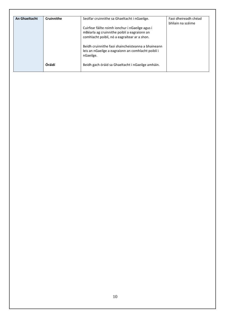| Cruinnithe | Seolfar cruinnithe sa Ghaeltacht i nGaeilge.       | Faoi dheireadh chéad<br>bhliain na scéime   |
|------------|----------------------------------------------------|---------------------------------------------|
|            | Cuirfear fáilte roimh ionchur i nGaeilge agus i    |                                             |
|            |                                                    |                                             |
|            | comhlacht poiblí, nó a eagraítear ar a shon.       |                                             |
|            | Beidh cruinnithe faoi shaincheisteanna a bhaineann |                                             |
|            | leis an nGaeilge a eagraíonn an comhlacht poiblí i |                                             |
|            | nGaeilge.                                          |                                             |
| Óráidí     | Beidh gach óráid sa Ghaeltacht i nGaeilge amháin.  |                                             |
|            |                                                    | mBéarla ag cruinnithe poiblí a eagraíonn an |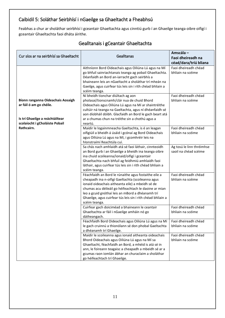## Caibidil 5: Soláthar Seirbhísí i nGaeilge sa Ghaeltacht a Fheabhsú

Feabhas a chur ar sholáthar seirbhísí i gceantair Ghaeltachta agus cinntiú gurb í an Ghaeilge teanga oibre oifigí i gceantair Ghaeltachta faoi dháta áirithe.

| Cur síos ar na seirbhísí sa Ghaeltacht                                                                                                          | Gealltanas                                                                                                                                                                                                                                                                                                                                                 | Amscála-<br>Faoi dheireadh na<br>céad/dara/tríú bliana |
|-------------------------------------------------------------------------------------------------------------------------------------------------|------------------------------------------------------------------------------------------------------------------------------------------------------------------------------------------------------------------------------------------------------------------------------------------------------------------------------------------------------------|--------------------------------------------------------|
|                                                                                                                                                 | Aithníonn Bord Oideachais agus Oiliúna Lú agus na Mí<br>go bhfuil sainriachtanais teanga ag pobail Ghaeltachta.<br>Déanfaidh an Bord an-iarracht gach seirbhís a<br>bhaineann leis an nGaeltacht a sholáthar trí mheán na<br>Gaeilge, agus cuirfear tús leis sin i rith chéad bhliain a<br>scéim teanga.                                                   | Faoi dheireadh chéad<br>bhliain na scéime              |
| Bíonn ranganna Oideachais Aosaigh<br>ar fáil ó am go chéile.<br>Is trí Ghaeilge a reáchtáiltear<br>scolaíocht i gCholáiste Pobail<br>Rathcairn. | Ní bheidh tionchar diúltach ag aon<br>pholasaí/tionscnamh/clár nua de chuid Bhord<br>Oideachais agus Oiliúna Lú agus na Mí ar shaintréithe<br>cultúir ná teanga na Gaeltachta, agus ní dhéanfaidh sé<br>aon díobháil dóibh. Glacfaidh an Bord le gach beart atá<br>ar a chumas chun na tréithe sin a chothú agus a<br>neartú.                              | Faoi dheireadh chéad<br>bhliain na scéime              |
|                                                                                                                                                 | Maidir le logainmneacha Gaeltachta, is é an leagan<br>oifigiúil a bheidh á úsáid i gcónaí ag Bord Oideachais<br>agus Oiliúna Lú agus na Mí, i gcomhréir leis na<br>hlonstraímí Reachtúla cuí.                                                                                                                                                              | Faoi dheireadh chéad<br>bhliain na scéime              |
|                                                                                                                                                 | Sa chás nach amhlaidh atá sé faoi láthair, cinnteoidh<br>an Bord gurb í an Ghaeilge a bheidh ina teanga oibre<br>ina chuid scoileanna/ionaid/oifigí i gceantair<br>Ghaeltachta nach bhfuil ag feidhmiú amhlaidh faoi<br>láthair, agus cuirfear tús leis sin i rith chéad bhliain a<br>scéim teanga.                                                        | Ag tosú le linn thréimhse<br>saoil na chéad scéime     |
|                                                                                                                                                 | Féachfaidh an Bord le rúnaithe agus fostaithe eile a<br>cheapadh ina n-oifigí Gaeltachta (scoileanna agus<br>ionaid oideachais aitheanta eile) a mbeidh sé de<br>chumas acu déileáil go héifeachtach le daoine ar mian<br>leo a gcuid gnóthaí leis an mBord a dhéanamh trí<br>Ghaeilge, agus cuirfear tús leis sin i rith chéad bhliain a<br>scéim teanga. | Faoi dheireadh chéad<br>bhliain na scéime              |
|                                                                                                                                                 | Cuirfear gach doiciméad a bhaineann le ceantair<br>Ghaeltachta ar fáil i nGaeilge amháin nó go<br>dátheangach.                                                                                                                                                                                                                                             | Faoi dheireadh chéad<br>bhliain na scéime              |
|                                                                                                                                                 | Féachfaidh Bord Oideachais agus Oiliúna Lú agus na Mí<br>le gach cruinnú a thionólann sé don phobal Gaeltachta<br>a dhéanamh trí Ghaeilge.                                                                                                                                                                                                                 | Faoi dheireadh chéad<br>bhliain na scéime              |
|                                                                                                                                                 | Maidir le scoileanna agus ionaid aitheanta oideachais<br>Bhord Oideachais agus Oiliúna Lú agus na Mí sa<br>Ghaeltacht, féachfaidh an Bord, a mhéid is atá sé in<br>ann, le foireann teagaisc a cheapadh a mbeidh sé ar a<br>gcumas raon iomlán ábhar an churaclaim a sholáthar<br>go héifeachtach trí Ghaeilge.                                            | Faoi dheireadh chéad<br>bhliain na scéime              |

## Gealltanais i gCeantair Ghaeltachta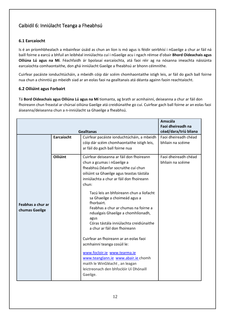## Caibidil 6: Inniúlacht Teanga a Fheabhsú

#### **6.1 Earcaíocht**

Is é an príomhbhealach a mbainfear úsáid as chun an líon is mó agus is féidir seirbhísí i nGaeilge a chur ar fáil ná baill foirne a earcú a bhfuil an leibhéal inniúlachta cuí i nGaeilge acu i ngach réimse d'obair **Bhord Oideachais agus Oiliúna Lú agus na Mí**. Féachfaidh ár bpolasaí earcaíochta, atá faoi réir ag na nósanna imeachta náisiúnta earcaíochta comhaontaithe, don ghá inniúlacht Gaeilge a fheabhsú ar bhonn céimnithe.

Cuirfear pacáiste ionduchtúcháin, a mbeidh cóip dár scéim chomhaontaithe istigh leis, ar fáil do gach ball foirne nua chun a chinntiú go mbeidh siad ar an eolas faoi na gealltanais atá déanta againn faoin reachtaíocht.

#### **6.2 Oiliúint agus Forbairt**

Tá **Bord Oideachais agus Oiliúna Lú agus na Mí** tiomanta, ag brath ar acmhainní, deiseanna a chur ar fáil don fhoireann chun freastal ar chúrsaí oiliúna Gaeilge atá creidiúnaithe go cuí. Cuirfear gach ball foirne ar an eolas faoi áiseanna/deiseanna chun a n-inniúlacht sa Ghaeilge a fheabhsú.

| <b>Gealltanas</b>                   |                 |                                                                                                                                                                                                                                                                                                                                                                                                                                                                                                                                                                                                                                                                                                                     | <b>Amscála</b><br>Faoi dheireadh na<br>céad/dara/tríú bliana |
|-------------------------------------|-----------------|---------------------------------------------------------------------------------------------------------------------------------------------------------------------------------------------------------------------------------------------------------------------------------------------------------------------------------------------------------------------------------------------------------------------------------------------------------------------------------------------------------------------------------------------------------------------------------------------------------------------------------------------------------------------------------------------------------------------|--------------------------------------------------------------|
|                                     | Earcaíocht      | Cuirfear pacáiste ionduchtúcháin, a mbeidh<br>cóip dár scéim chomhaontaithe istigh leis,<br>ar fáil do gach ball foirne nua                                                                                                                                                                                                                                                                                                                                                                                                                                                                                                                                                                                         | Faoi dheireadh chéad<br>bhliain na scéime                    |
| Feabhas a chur ar<br>chumas Gaeilge | <b>Oiliúint</b> | Cuirfear deiseanna ar fáil don fhoireann<br>chun a gcumas i nGaeilge a<br>fheabhsú. Déanfar socruithe cuí chun<br>oiliúint sa Ghaeilge agus teastas tástála<br>inniúlachta a chur ar fáil don fhoireann<br>chun:<br>Tacú leis an bhfoireann chun a líofacht<br>sa Ghaeilge a choimeád agus a<br>fhorbairt.<br>Feabhas a chur ar chumas na foirne a<br>ndualgais Ghaeilge a chomhlíonadh,<br>agus<br>Córas tástála inniúlachta creidiúnaithe<br>a chur ar fáil don fhoireann<br>Cuirfear an fhoireann ar an eolas faoi<br>acmhainní teanga cosúil le:<br>www.focloir.ie www.tearma.ie<br>www.teanglann.ie www.abair.ie chomh<br>maith le WinGléacht, an leagan<br>leictreonach den bhfoclóir Uí Dhónaill<br>Gaeilge. | Faoi dheireadh chéad<br>bhliain na scéime                    |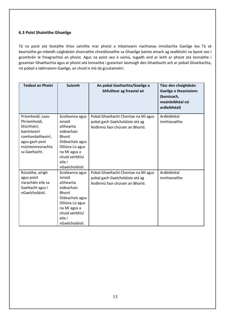#### **6.3 Poist Shainithe Ghaeilge**

Tá na poist atá liostáilte thíos sainithe mar phoist a mbaineann riachtanas inniúlachta Gaeilge leo. Tá sé beartaithe go mbeidh caighdeáin shonraithe chreidiúnaithe sa Ghaeilge bainte amach ag sealbhóirí na bpost seo i gcomhréir le freagrachtaí an phoist. Agus na poist seo á sainiú, tugadh aird ar leith ar phoist atá lonnaithe i gceantair Ghaeltachta agus ar phoist atá lonnaithe i gceantair lasmuigh den Ghaeltacht ach ar pobail Ghaeltachta, nó pobail a labhraíonn Gaeilge, an chuid is mó dá gcustaiméirí.

| <b>Teideal an Phoist</b>                                                                                                                       | <b>Suíomh</b>                                                                                                                                                              | An pobal Gaeltachta/Gaeilge a<br>bhfuiltear ag freastal air                                               | Tásc den chaighdeán<br>Gaeilge a theastaíonn<br>(bunúsach,<br>meánleibhéal nó<br>ardleibhéal) |
|------------------------------------------------------------------------------------------------------------------------------------------------|----------------------------------------------------------------------------------------------------------------------------------------------------------------------------|-----------------------------------------------------------------------------------------------------------|-----------------------------------------------------------------------------------------------|
| Príomhoidí, Leas-<br>Phríomhoidí,<br>Stiúrthóirí,<br>bainisteoirí<br>comhordaitheoirí,<br>agus gach post<br>múinteoirearachta<br>sa Gaeltacht. | Scoileanna agus<br>ionaid<br>aitheanta<br>oideachais<br><b>Bhord</b><br>Oideachais agus<br>Oiliúna Lú agus<br>na Mí agus a<br>chuid seirbhísí<br>eile i<br>nGaelcholáistí. | Pobal Ghaeltacht Chontae na Mí agus<br>pobal gach Gaelcholáiste atá ag<br>feidhmiú faoi chúram an Bhoird. | Ardleibhéal<br>inmhianaithe                                                                   |
| Rúnaithe, airígh<br>agus poist<br>riaracháin eile sa<br>Gaeltacht agus i<br>nGaelcholáistí.                                                    | Scoileanna agus<br>ionaid<br>aitheanta<br>oideachais<br><b>Bhord</b><br>Oideachais agus<br>Oiliúna Lú agus<br>na Mí agus a<br>chuid seirbhísí<br>eile i<br>nGaelcholáistí. | Pobal Ghaeltacht Chontae na Mí agus<br>pobal gach Gaelcholáiste atá ag<br>feidhmiú faoi chúram an Bhoird. | Ardleibhéal<br>inmhianaithe                                                                   |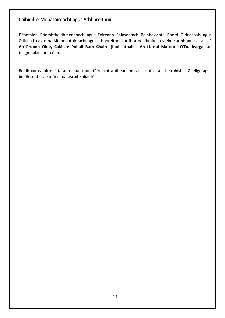## Caibidil 7: Monatóireacht agus Athbhreithniú

Déanfaidh Príomhfheidhmeannach agus Foireann Shinsearach Bainistíochta Bhord Oideachais agus Oiliúna Lú agus na Mí monatóireacht agus athbhreithniú ar fhorfheidhmiú na scéime ar bhonn rialta. Is é **An Príomh Oide, Coláiste Pobail Ráth Chairn (faoi láthair - An tUasal Macdara O'Duillearga)** an teagmhálaí don scéim.

Beidh córas foirmeálta ann chun monatóireacht a dhéanamh ar iarratais ar sheirbhísí i nGaeilge agus beidh cuntas air inár dTuarascáil Bhliantúil.